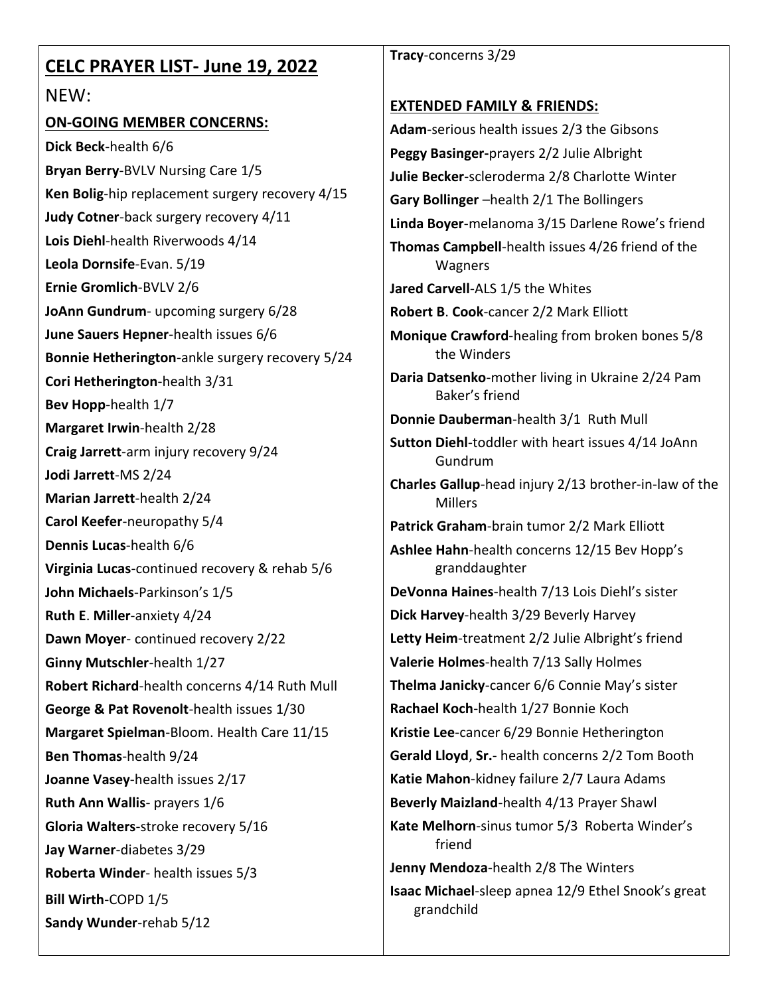| <b>CELC PRAYER LIST- June 19, 2022</b>          | Tracy-concerns 3/29                                                |
|-------------------------------------------------|--------------------------------------------------------------------|
| NEW:                                            |                                                                    |
| <b>ON-GOING MEMBER CONCERNS:</b>                | <b>EXTENDED FAMILY &amp; FRIENDS:</b>                              |
| Dick Beck-health 6/6                            | Adam-serious health issues 2/3 the Gibsons                         |
| Bryan Berry-BVLV Nursing Care 1/5               | Peggy Basinger-prayers 2/2 Julie Albright                          |
| Ken Bolig-hip replacement surgery recovery 4/15 | Julie Becker-scleroderma 2/8 Charlotte Winter                      |
| Judy Cotner-back surgery recovery 4/11          | Gary Bollinger -health 2/1 The Bollingers                          |
| Lois Diehl-health Riverwoods 4/14               | Linda Boyer-melanoma 3/15 Darlene Rowe's friend                    |
| Leola Dornsife-Evan. 5/19                       | Thomas Campbell-health issues 4/26 friend of the<br>Wagners        |
| Ernie Gromlich-BVLV 2/6                         | Jared Carvell-ALS 1/5 the Whites                                   |
| JoAnn Gundrum- upcoming surgery 6/28            | Robert B. Cook-cancer 2/2 Mark Elliott                             |
| June Sauers Hepner-health issues 6/6            | Monique Crawford-healing from broken bones 5/8                     |
| Bonnie Hetherington-ankle surgery recovery 5/24 | the Winders                                                        |
| Cori Hetherington-health 3/31                   | Daria Datsenko-mother living in Ukraine 2/24 Pam<br>Baker's friend |
| Bev Hopp-health 1/7                             | Donnie Dauberman-health 3/1 Ruth Mull                              |
| Margaret Irwin-health 2/28                      | Sutton Diehl-toddler with heart issues 4/14 JoAnn                  |
| Craig Jarrett-arm injury recovery 9/24          | Gundrum                                                            |
| Jodi Jarrett-MS 2/24                            | Charles Gallup-head injury 2/13 brother-in-law of the              |
| Marian Jarrett-health 2/24                      | <b>Millers</b>                                                     |
| Carol Keefer-neuropathy 5/4                     | Patrick Graham-brain tumor 2/2 Mark Elliott                        |
| Dennis Lucas-health 6/6                         | Ashlee Hahn-health concerns 12/15 Bev Hopp's                       |
| Virginia Lucas-continued recovery & rehab 5/6   | granddaughter                                                      |
| John Michaels-Parkinson's 1/5                   | DeVonna Haines-health 7/13 Lois Diehl's sister                     |
| Ruth E. Miller-anxiety 4/24                     | Dick Harvey-health 3/29 Beverly Harvey                             |
| Dawn Moyer-continued recovery 2/22              | Letty Heim-treatment 2/2 Julie Albright's friend                   |
| Ginny Mutschler-health 1/27                     | Valerie Holmes-health 7/13 Sally Holmes                            |
| Robert Richard-health concerns 4/14 Ruth Mull   | Thelma Janicky-cancer 6/6 Connie May's sister                      |
| George & Pat Rovenolt-health issues 1/30        | Rachael Koch-health 1/27 Bonnie Koch                               |
| Margaret Spielman-Bloom. Health Care 11/15      | Kristie Lee-cancer 6/29 Bonnie Hetherington                        |
| Ben Thomas-health 9/24                          | Gerald Lloyd, Sr.- health concerns 2/2 Tom Booth                   |
| Joanne Vasey-health issues 2/17                 | Katie Mahon-kidney failure 2/7 Laura Adams                         |
| Ruth Ann Wallis- prayers 1/6                    | Beverly Maizland-health 4/13 Prayer Shawl                          |
| Gloria Walters-stroke recovery 5/16             | Kate Melhorn-sinus tumor 5/3 Roberta Winder's<br>friend            |
| Jay Warner-diabetes 3/29                        | Jenny Mendoza-health 2/8 The Winters                               |
| Roberta Winder- health issues 5/3               | Isaac Michael-sleep apnea 12/9 Ethel Snook's great                 |
| Bill Wirth-COPD 1/5                             | grandchild                                                         |
| Sandy Wunder-rehab 5/12                         |                                                                    |